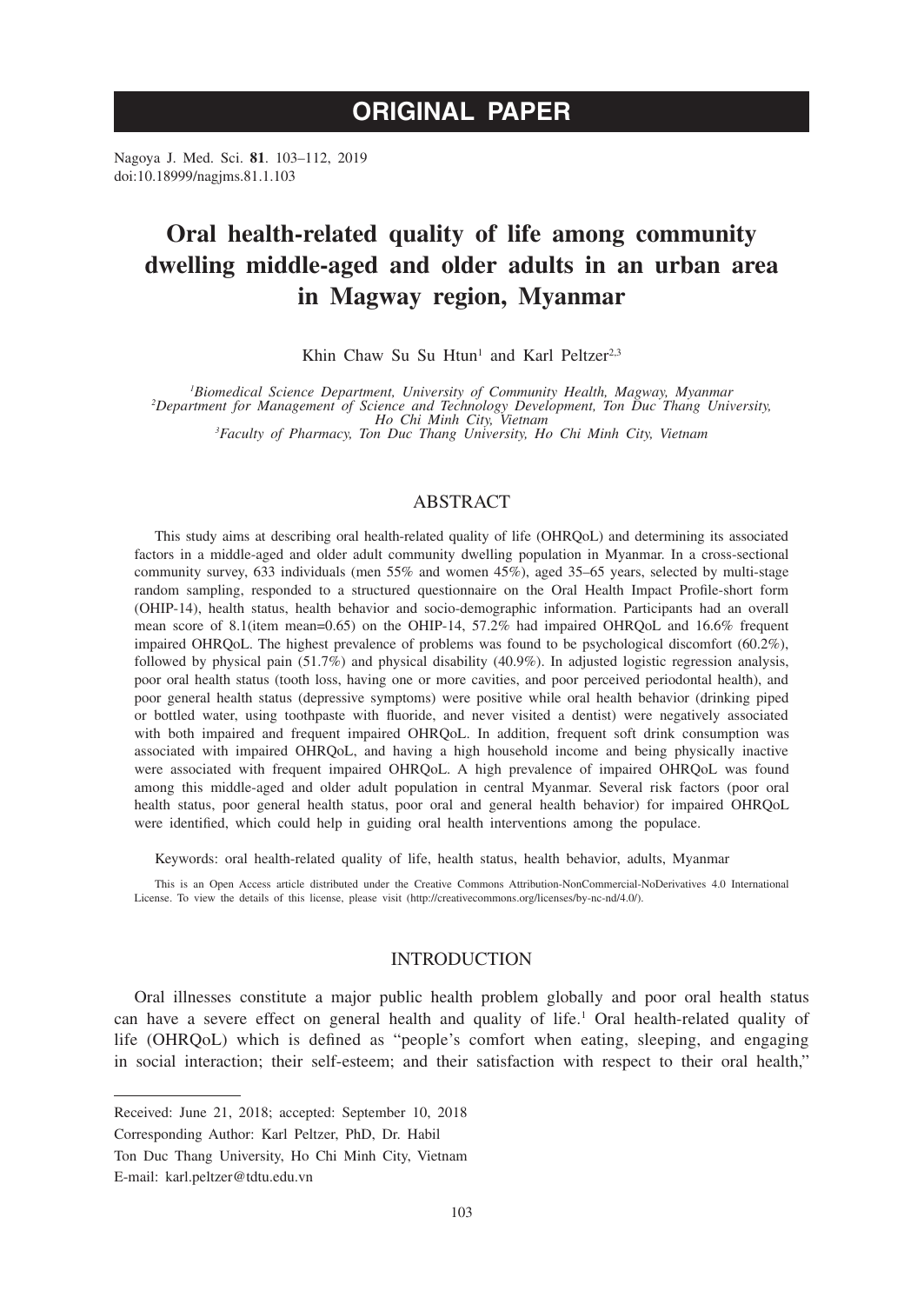# **ORIGINAL PAPER**

Nagoya J. Med. Sci. **81**. 103–112, 2019 doi:10.18999/nagjms.81.1.103

# **Oral health-related quality of life among community dwelling middle-aged and older adults in an urban area in Magway region, Myanmar**

Khin Chaw Su Su Htun<sup>1</sup> and Karl Peltzer<sup>2,3</sup>

<sup>1</sup>Biomedical Science Department, University of Community Health, Magway, Myanmar<br><sup>2</sup>Department for Management of Science and Technology Development, Ton Duc Thang University,<br><sup>3</sup>Faculty of Pharmacy Ton Duc Thang Universit

*Faculty of Pharmacy, Ton Duc Thang University, Ho Chi Minh City, Vietnam*

## ABSTRACT

This study aims at describing oral health-related quality of life (OHRQoL) and determining its associated factors in a middle-aged and older adult community dwelling population in Myanmar. In a cross-sectional community survey, 633 individuals (men 55% and women 45%), aged 35–65 years, selected by multi-stage random sampling, responded to a structured questionnaire on the Oral Health Impact Profile-short form (OHIP-14), health status, health behavior and socio-demographic information. Participants had an overall mean score of 8.1(item mean=0.65) on the OHIP-14, 57.2% had impaired OHRQoL and 16.6% frequent impaired OHRQoL. The highest prevalence of problems was found to be psychological discomfort (60.2%), followed by physical pain (51.7%) and physical disability (40.9%). In adjusted logistic regression analysis, poor oral health status (tooth loss, having one or more cavities, and poor perceived periodontal health), and poor general health status (depressive symptoms) were positive while oral health behavior (drinking piped or bottled water, using toothpaste with fluoride, and never visited a dentist) were negatively associated with both impaired and frequent impaired OHRQoL. In addition, frequent soft drink consumption was associated with impaired OHRQoL, and having a high household income and being physically inactive were associated with frequent impaired OHRQoL. A high prevalence of impaired OHRQoL was found among this middle-aged and older adult population in central Myanmar. Several risk factors (poor oral health status, poor general health status, poor oral and general health behavior) for impaired OHRQoL were identified, which could help in guiding oral health interventions among the populace.

Keywords: oral health-related quality of life, health status, health behavior, adults, Myanmar

This is an Open Access article distributed under the Creative Commons Attribution-NonCommercial-NoDerivatives 4.0 International License. To view the details of this license, please visit (http://creativecommons.org/licenses/by-nc-nd/4.0/).

## INTRODUCTION

Oral illnesses constitute a major public health problem globally and poor oral health status can have a severe effect on general health and quality of life.<sup>1</sup> Oral health-related quality of life (OHRQoL) which is defined as "people's comfort when eating, sleeping, and engaging in social interaction; their self-esteem; and their satisfaction with respect to their oral health,"

Received: June 21, 2018; accepted: September 10, 2018

Corresponding Author: Karl Peltzer, PhD, Dr. Habil

Ton Duc Thang University, Ho Chi Minh City, Vietnam

E-mail: karl.peltzer@tdtu.edu.vn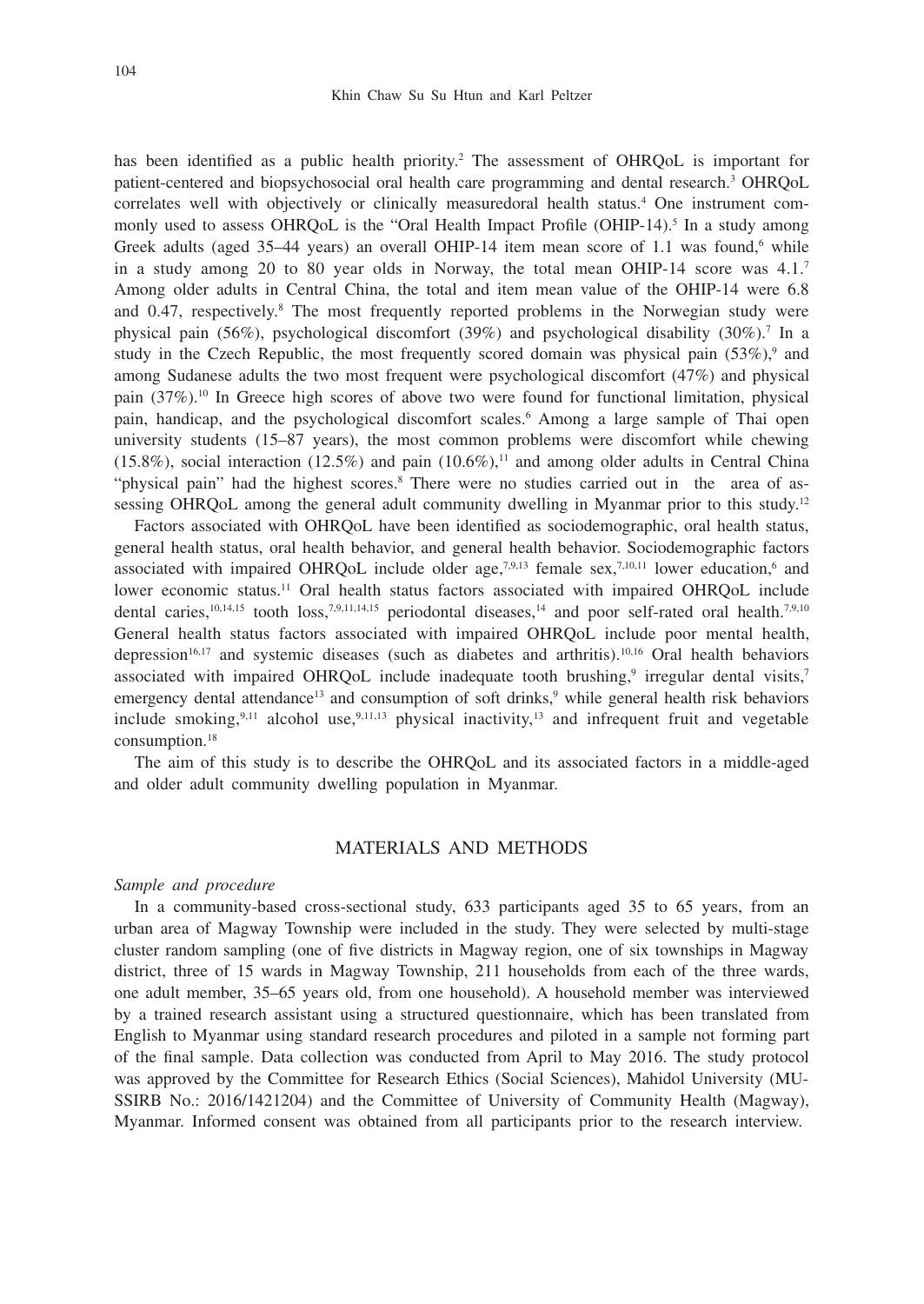has been identified as a public health priority.<sup>2</sup> The assessment of OHRQoL is important for patient-centered and biopsychosocial oral health care programming and dental research.<sup>3</sup> OHRQoL correlates well with objectively or clinically measuredoral health status.4 One instrument commonly used to assess OHRQoL is the "Oral Health Impact Profile (OHIP-14).<sup>5</sup> In a study among Greek adults (aged  $35-44$  years) an overall OHIP-14 item mean score of 1.1 was found,<sup>6</sup> while in a study among 20 to 80 year olds in Norway, the total mean OHIP-14 score was 4.1.7 Among older adults in Central China, the total and item mean value of the OHIP-14 were 6.8 and 0.47, respectively.<sup>8</sup> The most frequently reported problems in the Norwegian study were physical pain (56%), psychological discomfort (39%) and psychological disability (30%).<sup>7</sup> In a study in the Czech Republic, the most frequently scored domain was physical pain (53%),<sup>9</sup> and among Sudanese adults the two most frequent were psychological discomfort (47%) and physical pain (37%).10 In Greece high scores of above two were found for functional limitation, physical pain, handicap, and the psychological discomfort scales.<sup>6</sup> Among a large sample of Thai open university students (15–87 years), the most common problems were discomfort while chewing  $(15.8\%)$ , social interaction  $(12.5\%)$  and pain  $(10.6\%)$ ,<sup>11</sup> and among older adults in Central China "physical pain" had the highest scores.<sup>8</sup> There were no studies carried out in the area of assessing OHROoL among the general adult community dwelling in Myanmar prior to this study.<sup>12</sup>

Factors associated with OHRQoL have been identified as sociodemographic, oral health status, general health status, oral health behavior, and general health behavior. Sociodemographic factors associated with impaired OHRQoL include older age, $7.9,13$  female sex, $7.10,11$  lower education,<sup>6</sup> and lower economic status.<sup>11</sup> Oral health status factors associated with impaired OHROoL include dental caries,<sup>10,14,15</sup> tooth loss,<sup>7,9,11,14,15</sup> periodontal diseases,<sup>14</sup> and poor self-rated oral health.<sup>7,9,10</sup> General health status factors associated with impaired OHRQoL include poor mental health, depression<sup>16,17</sup> and systemic diseases (such as diabetes and arthritis).<sup>10,16</sup> Oral health behaviors associated with impaired OHRQoL include inadequate tooth brushing,<sup>9</sup> irregular dental visits,<sup>7</sup> emergency dental attendance<sup>13</sup> and consumption of soft drinks,<sup>9</sup> while general health risk behaviors include smoking,<sup>9,11</sup> alcohol use,<sup>9,11,13</sup> physical inactivity,<sup>13</sup> and infrequent fruit and vegetable consumption.18

The aim of this study is to describe the OHRQoL and its associated factors in a middle-aged and older adult community dwelling population in Myanmar.

## MATERIALS AND METHODS

#### *Sample and procedure*

In a community-based cross-sectional study, 633 participants aged 35 to 65 years, from an urban area of Magway Township were included in the study. They were selected by multi-stage cluster random sampling (one of five districts in Magway region, one of six townships in Magway district, three of 15 wards in Magway Township, 211 households from each of the three wards, one adult member, 35–65 years old, from one household). A household member was interviewed by a trained research assistant using a structured questionnaire, which has been translated from English to Myanmar using standard research procedures and piloted in a sample not forming part of the final sample. Data collection was conducted from April to May 2016. The study protocol was approved by the Committee for Research Ethics (Social Sciences), Mahidol University (MU-SSIRB No.: 2016/1421204) and the Committee of University of Community Health (Magway), Myanmar. Informed consent was obtained from all participants prior to the research interview.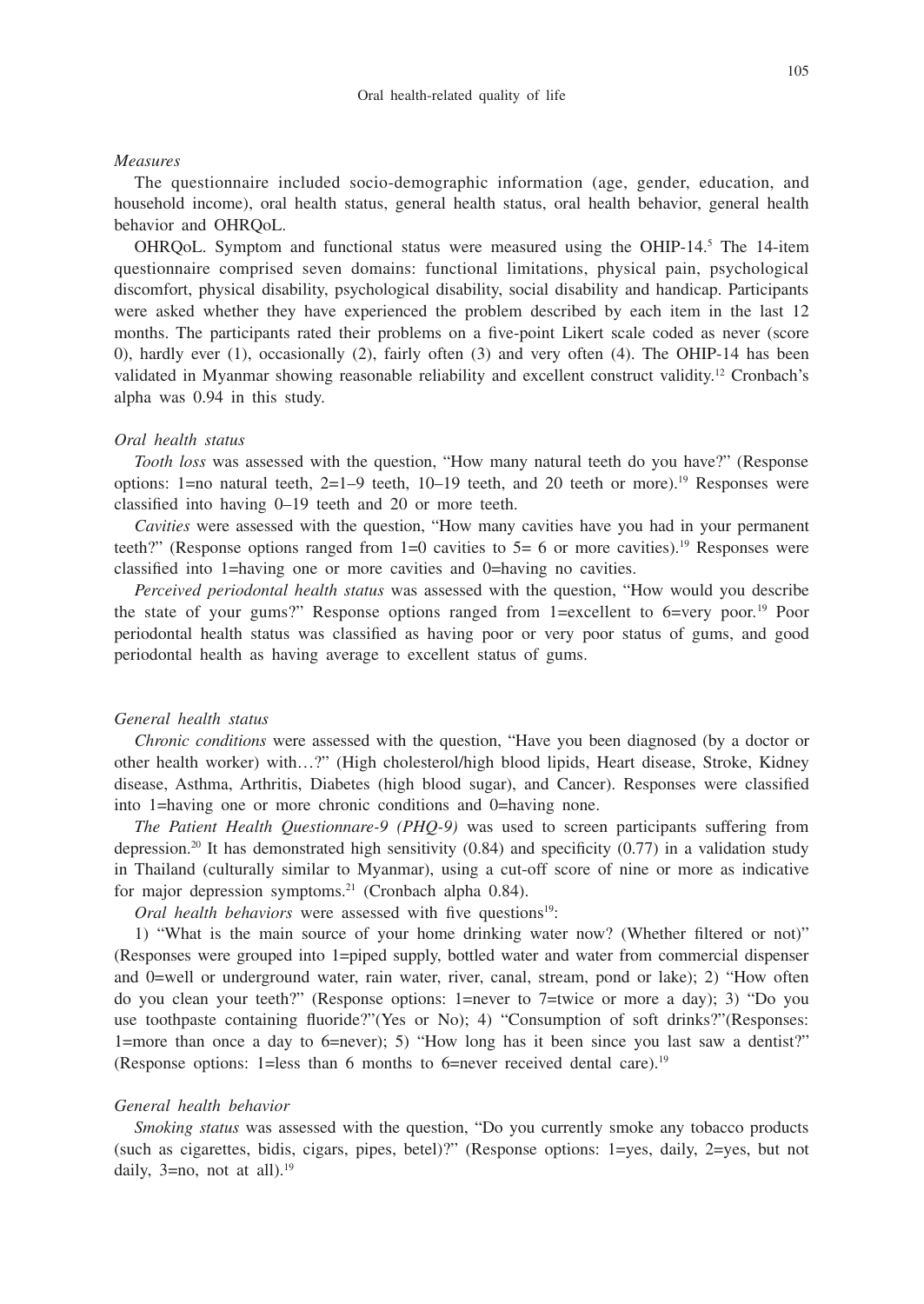#### *Measures*

The questionnaire included socio-demographic information (age, gender, education, and household income), oral health status, general health status, oral health behavior, general health behavior and OHRQoL.

OHRQoL. Symptom and functional status were measured using the OHIP-14.<sup>5</sup> The 14-item questionnaire comprised seven domains: functional limitations, physical pain, psychological discomfort, physical disability, psychological disability, social disability and handicap. Participants were asked whether they have experienced the problem described by each item in the last 12 months. The participants rated their problems on a five-point Likert scale coded as never (score 0), hardly ever (1), occasionally (2), fairly often (3) and very often (4). The OHIP-14 has been validated in Myanmar showing reasonable reliability and excellent construct validity.12 Cronbach's alpha was 0.94 in this study.

### *Oral health status*

*Tooth loss* was assessed with the question, "How many natural teeth do you have?" (Response options: 1=no natural teeth,  $2=1-9$  teeth,  $10-19$  teeth, and 20 teeth or more).<sup>19</sup> Responses were classified into having 0–19 teeth and 20 or more teeth.

*Cavities* were assessed with the question, "How many cavities have you had in your permanent teeth?" (Response options ranged from 1=0 cavities to  $5=6$  or more cavities).<sup>19</sup> Responses were classified into 1=having one or more cavities and 0=having no cavities.

*Perceived periodontal health status* was assessed with the question, "How would you describe the state of your gums?" Response options ranged from 1=excellent to 6=very poor.19 Poor periodontal health status was classified as having poor or very poor status of gums, and good periodontal health as having average to excellent status of gums.

### *General health status*

*Chronic conditions* were assessed with the question, "Have you been diagnosed (by a doctor or other health worker) with…?" (High cholesterol/high blood lipids, Heart disease, Stroke, Kidney disease, Asthma, Arthritis, Diabetes (high blood sugar), and Cancer). Responses were classified into 1=having one or more chronic conditions and 0=having none.

*The Patient Health Questionnare-9 (PHQ-9)* was used to screen participants suffering from depression.<sup>20</sup> It has demonstrated high sensitivity  $(0.84)$  and specificity  $(0.77)$  in a validation study in Thailand (culturally similar to Myanmar), using a cut-off score of nine or more as indicative for major depression symptoms.<sup>21</sup> (Cronbach alpha 0.84).

*Oral health behaviors* were assessed with five questions<sup>19</sup>:

1) "What is the main source of your home drinking water now? (Whether filtered or not)" (Responses were grouped into 1=piped supply, bottled water and water from commercial dispenser and 0=well or underground water, rain water, river, canal, stream, pond or lake); 2) "How often do you clean your teeth?" (Response options: 1=never to 7=twice or more a day); 3) "Do you use toothpaste containing fluoride?"(Yes or No); 4) "Consumption of soft drinks?"(Responses: 1=more than once a day to 6=never); 5) "How long has it been since you last saw a dentist?" (Response options: 1=less than 6 months to 6=never received dental care).19

#### *General health behavior*

*Smoking status* was assessed with the question, "Do you currently smoke any tobacco products (such as cigarettes, bidis, cigars, pipes, betel)?" (Response options: 1=yes, daily, 2=yes, but not daily,  $3=$ no, not at all $)$ .<sup>19</sup>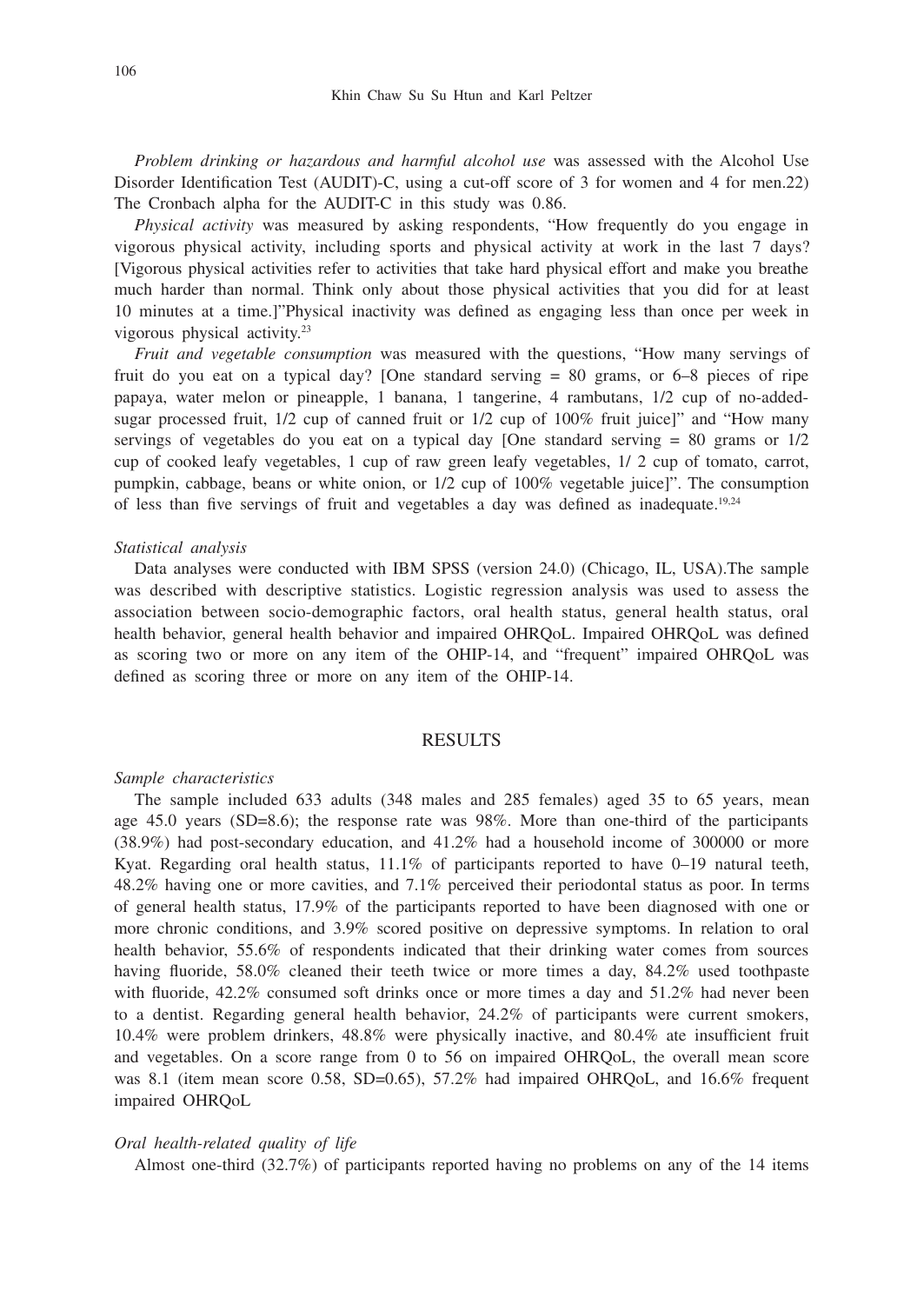*Problem drinking or hazardous and harmful alcohol use* was assessed with the Alcohol Use Disorder Identification Test (AUDIT)-C, using a cut-off score of 3 for women and 4 for men.22) The Cronbach alpha for the AUDIT-C in this study was 0.86.

*Physical activity* was measured by asking respondents, "How frequently do you engage in vigorous physical activity, including sports and physical activity at work in the last 7 days? [Vigorous physical activities refer to activities that take hard physical effort and make you breathe much harder than normal. Think only about those physical activities that you did for at least 10 minutes at a time.]"Physical inactivity was defined as engaging less than once per week in vigorous physical activity.23

*Fruit and vegetable consumption* was measured with the questions, "How many servings of fruit do you eat on a typical day? [One standard serving = 80 grams, or 6–8 pieces of ripe papaya, water melon or pineapple, 1 banana, 1 tangerine, 4 rambutans, 1/2 cup of no-addedsugar processed fruit, 1/2 cup of canned fruit or 1/2 cup of 100% fruit juice]" and "How many servings of vegetables do you eat on a typical day [One standard serving  $= 80$  grams or  $1/2$ cup of cooked leafy vegetables, 1 cup of raw green leafy vegetables, 1/ 2 cup of tomato, carrot, pumpkin, cabbage, beans or white onion, or 1/2 cup of 100% vegetable juice]". The consumption of less than five servings of fruit and vegetables a day was defined as inadequate.19,24

#### *Statistical analysis*

Data analyses were conducted with IBM SPSS (version 24.0) (Chicago, IL, USA).The sample was described with descriptive statistics. Logistic regression analysis was used to assess the association between socio-demographic factors, oral health status, general health status, oral health behavior, general health behavior and impaired OHRQoL. Impaired OHRQoL was defined as scoring two or more on any item of the OHIP-14, and "frequent" impaired OHRQoL was defined as scoring three or more on any item of the OHIP-14.

## RESULTS

#### *Sample characteristics*

The sample included 633 adults (348 males and 285 females) aged 35 to 65 years, mean age 45.0 years (SD=8.6); the response rate was 98%. More than one-third of the participants (38.9%) had post-secondary education, and 41.2% had a household income of 300000 or more Kyat. Regarding oral health status, 11.1% of participants reported to have 0–19 natural teeth, 48.2% having one or more cavities, and 7.1% perceived their periodontal status as poor. In terms of general health status, 17.9% of the participants reported to have been diagnosed with one or more chronic conditions, and 3.9% scored positive on depressive symptoms. In relation to oral health behavior, 55.6% of respondents indicated that their drinking water comes from sources having fluoride, 58.0% cleaned their teeth twice or more times a day, 84.2% used toothpaste with fluoride, 42.2% consumed soft drinks once or more times a day and 51.2% had never been to a dentist. Regarding general health behavior, 24.2% of participants were current smokers, 10.4% were problem drinkers, 48.8% were physically inactive, and 80.4% ate insufficient fruit and vegetables. On a score range from 0 to 56 on impaired OHRQoL, the overall mean score was 8.1 (item mean score 0.58, SD=0.65), 57.2% had impaired OHRQoL, and 16.6% frequent impaired OHRQoL

#### *Oral health-related quality of life*

Almost one-third (32.7%) of participants reported having no problems on any of the 14 items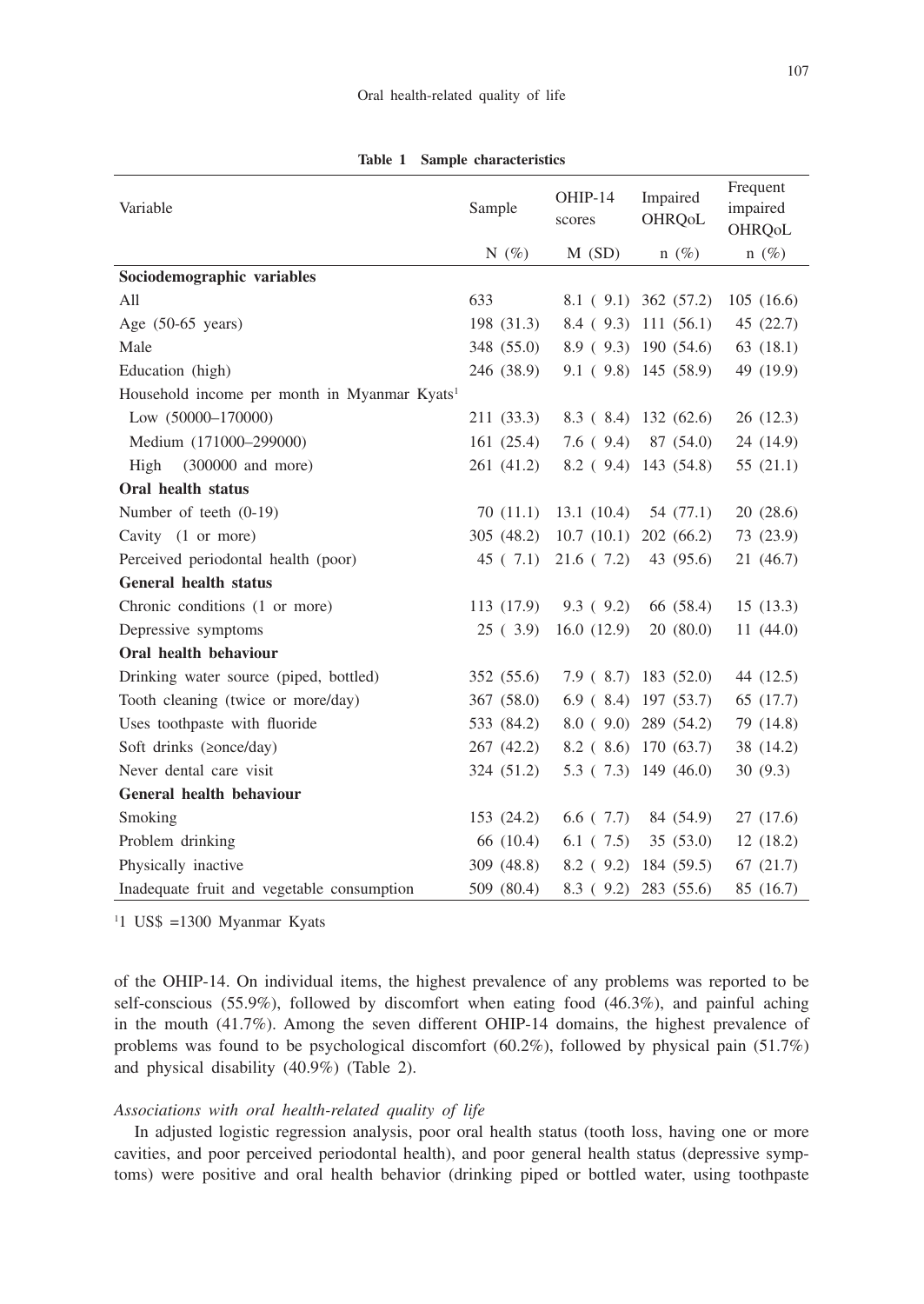| Variable                                                 | Sample     | OHIP-14<br>scores | Impaired<br>OHRQoL         | Frequent<br>impaired |
|----------------------------------------------------------|------------|-------------------|----------------------------|----------------------|
|                                                          | N $(\% )$  | $M$ (SD)          | $n(\%)$                    | OHRQoL<br>$n(\%)$    |
| Sociodemographic variables                               |            |                   |                            |                      |
| All                                                      | 633        |                   | $8.1(9.1)$ 362 (57.2)      | 105(16.6)            |
| Age $(50-65 \text{ years})$                              | 198 (31.3) |                   | $8.4$ (9.3) 111 (56.1)     | 45 (22.7)            |
| Male                                                     | 348 (55.0) |                   | 8.9(9.3)190(54.6)          | 63(18.1)             |
| Education (high)                                         | 246 (38.9) |                   | 9.1(9.8)145(58.9)          | 49 (19.9)            |
| Household income per month in Myanmar Kyats <sup>1</sup> |            |                   |                            |                      |
| Low (50000-170000)                                       | 211 (33.3) |                   | 8.3(8.4)132(62.6)          | 26(12.3)             |
| Medium (171000-299000)                                   | 161(25.4)  | 7.6(9.4)          | 87 (54.0)                  | 24 (14.9)            |
| High<br>$(300000$ and more)                              | 261 (41.2) |                   | $8.2$ (9.4) 143 (54.8)     | 55(21.1)             |
| Oral health status                                       |            |                   |                            |                      |
| Number of teeth (0-19)                                   | 70(11.1)   | 13.1(10.4)        | 54 (77.1)                  | 20(28.6)             |
| Cavity (1 or more)                                       | 305 (48.2) | 10.7(10.1)        | 202(66.2)                  | 73 (23.9)            |
| Perceived periodontal health (poor)                      | 45(7.1)    | 21.6(7.2)         | 43 (95.6)                  | 21 (46.7)            |
| <b>General health status</b>                             |            |                   |                            |                      |
| Chronic conditions (1 or more)                           | 113 (17.9) | 9.3(9.2)          | 66 (58.4)                  | 15(13.3)             |
| Depressive symptoms                                      | 25(3.9)    | 16.0(12.9)        | 20(80.0)                   | 11(44.0)             |
| Oral health behaviour                                    |            |                   |                            |                      |
| Drinking water source (piped, bottled)                   | 352 (55.6) |                   | $7.9$ (8.7) 183 (52.0)     | 44 (12.5)            |
| Tooth cleaning (twice or more/day)                       | 367 (58.0) |                   | $6.9$ ( $8.4$ ) 197 (53.7) | 65 (17.7)            |
| Uses toothpaste with fluoride                            | 533 (84.2) |                   | 8.0(9.0)289(54.2)          | 79 (14.8)            |
| Soft drinks (≥once/day)                                  | 267 (42.2) |                   | 8.2 (8.6) 170 (63.7)       | 38 (14.2)            |
| Never dental care visit                                  | 324 (51.2) |                   | $5.3$ ( $7.3$ ) 149 (46.0) | 30(9.3)              |
| General health behaviour                                 |            |                   |                            |                      |
| Smoking                                                  | 153 (24.2) | $6.6$ ( $7.7$ )   | 84 (54.9)                  | 27(17.6)             |
| Problem drinking                                         | 66 (10.4)  | 6.1(7.5)          | 35(53.0)                   | 12(18.2)             |
| Physically inactive                                      | 309 (48.8) | 8.2(9.2)          | 184 (59.5)                 | 67(21.7)             |
| Inadequate fruit and vegetable consumption               | 509 (80.4) | 8.3(9.2)          | 283 (55.6)                 | 85 (16.7)            |

**Table 1 Sample characteristics**

1 1 US\$ =1300 Myanmar Kyats

of the OHIP-14. On individual items, the highest prevalence of any problems was reported to be self-conscious (55.9%), followed by discomfort when eating food (46.3%), and painful aching in the mouth (41.7%). Among the seven different OHIP-14 domains, the highest prevalence of problems was found to be psychological discomfort (60.2%), followed by physical pain (51.7%) and physical disability (40.9%) (Table 2).

#### *Associations with oral health-related quality of life*

In adjusted logistic regression analysis, poor oral health status (tooth loss, having one or more cavities, and poor perceived periodontal health), and poor general health status (depressive symptoms) were positive and oral health behavior (drinking piped or bottled water, using toothpaste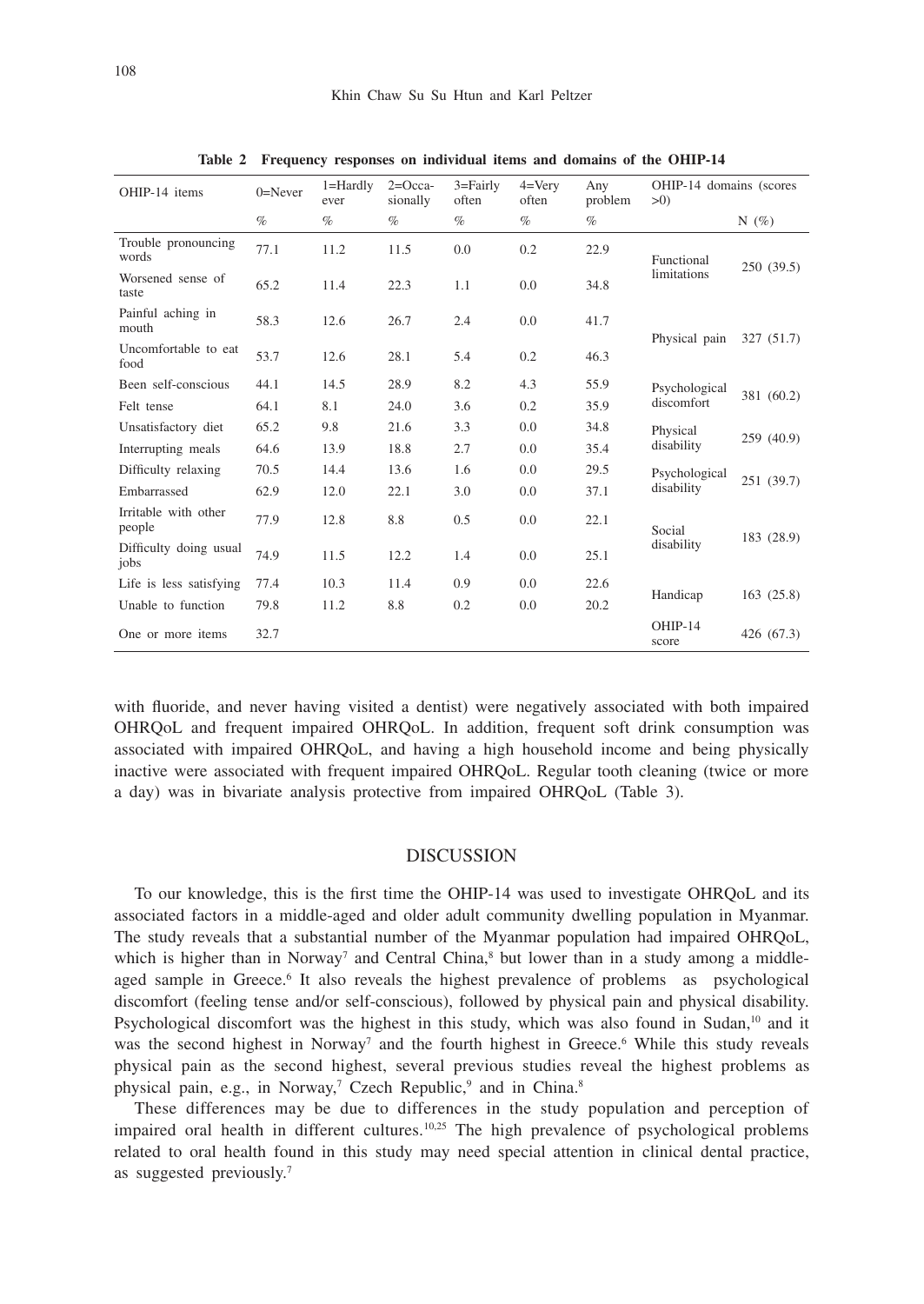| OHIP-14 items                  | $0 =$ Never | $1 =$ Hardly<br>ever | $2=Occa-$<br>sionally | $3 =$ Fairly<br>often | $4=V$ erv<br>often | Any<br>problem | OHIP-14 domains (scores<br>>0 |            |
|--------------------------------|-------------|----------------------|-----------------------|-----------------------|--------------------|----------------|-------------------------------|------------|
|                                | $\%$        | $\%$                 | $\%$                  | $\%$                  | $\%$               | $\%$           |                               | $N(\%)$    |
| Trouble pronouncing<br>words   | 77.1        | 11.2                 | 11.5                  | 0.0                   | 0.2                | 22.9           | Functional                    | 250(39.5)  |
| Worsened sense of<br>taste     | 65.2        | 11.4                 | 22.3                  | 1.1                   | 0.0                | 34.8           | limitations                   |            |
| Painful aching in<br>mouth     | 58.3        | 12.6                 | 26.7                  | 2.4                   | 0.0                | 41.7           | Physical pain                 | 327 (51.7) |
| Uncomfortable to eat<br>food   | 53.7        | 12.6                 | 28.1                  | 5.4                   | 0.2                | 46.3           |                               |            |
| Been self-conscious            | 44.1        | 14.5                 | 28.9                  | 8.2                   | 4.3                | 55.9           | Psychological                 |            |
| Felt tense                     | 64.1        | 8.1                  | 24.0                  | 3.6                   | 0.2                | 35.9           | discomfort                    | 381 (60.2) |
| Unsatisfactory diet            | 65.2        | 9.8                  | 21.6                  | 3.3                   | 0.0                | 34.8           | Physical                      |            |
| Interrupting meals             | 64.6        | 13.9                 | 18.8                  | 2.7                   | 0.0                | 35.4           | disability                    | 259 (40.9) |
| Difficulty relaxing            | 70.5        | 14.4                 | 13.6                  | 1.6                   | 0.0                | 29.5           | Psychological                 |            |
| Embarrassed                    | 62.9        | 12.0                 | 22.1                  | 3.0                   | 0.0                | 37.1           | disability                    | 251 (39.7) |
| Irritable with other<br>people | 77.9        | 12.8                 | 8.8                   | 0.5                   | 0.0                | 22.1           | Social                        | 183 (28.9) |
| Difficulty doing usual<br>jobs | 74.9        | 11.5                 | 12.2                  | 1.4                   | 0.0                | 25.1           | disability                    |            |
| Life is less satisfying        | 77.4        | 10.3                 | 11.4                  | 0.9                   | 0.0                | 22.6           | Handicap                      | 163(25.8)  |
| Unable to function             | 79.8        | 11.2                 | 8.8                   | 0.2                   | 0.0                | 20.2           |                               |            |
| One or more items              | 32.7        |                      |                       |                       |                    |                | OHIP-14<br>score              | 426 (67.3) |

**Table 2 Frequency responses on individual items and domains of the OHIP-14**

with fluoride, and never having visited a dentist) were negatively associated with both impaired OHRQoL and frequent impaired OHRQoL. In addition, frequent soft drink consumption was associated with impaired OHRQoL, and having a high household income and being physically inactive were associated with frequent impaired OHRQoL. Regular tooth cleaning (twice or more a day) was in bivariate analysis protective from impaired OHRQoL (Table 3).

#### DISCUSSION

To our knowledge, this is the first time the OHIP-14 was used to investigate OHRQoL and its associated factors in a middle-aged and older adult community dwelling population in Myanmar. The study reveals that a substantial number of the Myanmar population had impaired OHRQoL, which is higher than in Norway<sup>7</sup> and Central China,<sup>8</sup> but lower than in a study among a middleaged sample in Greece.<sup>6</sup> It also reveals the highest prevalence of problems as psychological discomfort (feeling tense and/or self-conscious), followed by physical pain and physical disability. Psychological discomfort was the highest in this study, which was also found in Sudan,<sup>10</sup> and it was the second highest in Norway<sup>7</sup> and the fourth highest in Greece.<sup>6</sup> While this study reveals physical pain as the second highest, several previous studies reveal the highest problems as physical pain, e.g., in Norway,<sup>7</sup> Czech Republic,<sup>9</sup> and in China.<sup>8</sup>

These differences may be due to differences in the study population and perception of impaired oral health in different cultures.10,25 The high prevalence of psychological problems related to oral health found in this study may need special attention in clinical dental practice, as suggested previously.7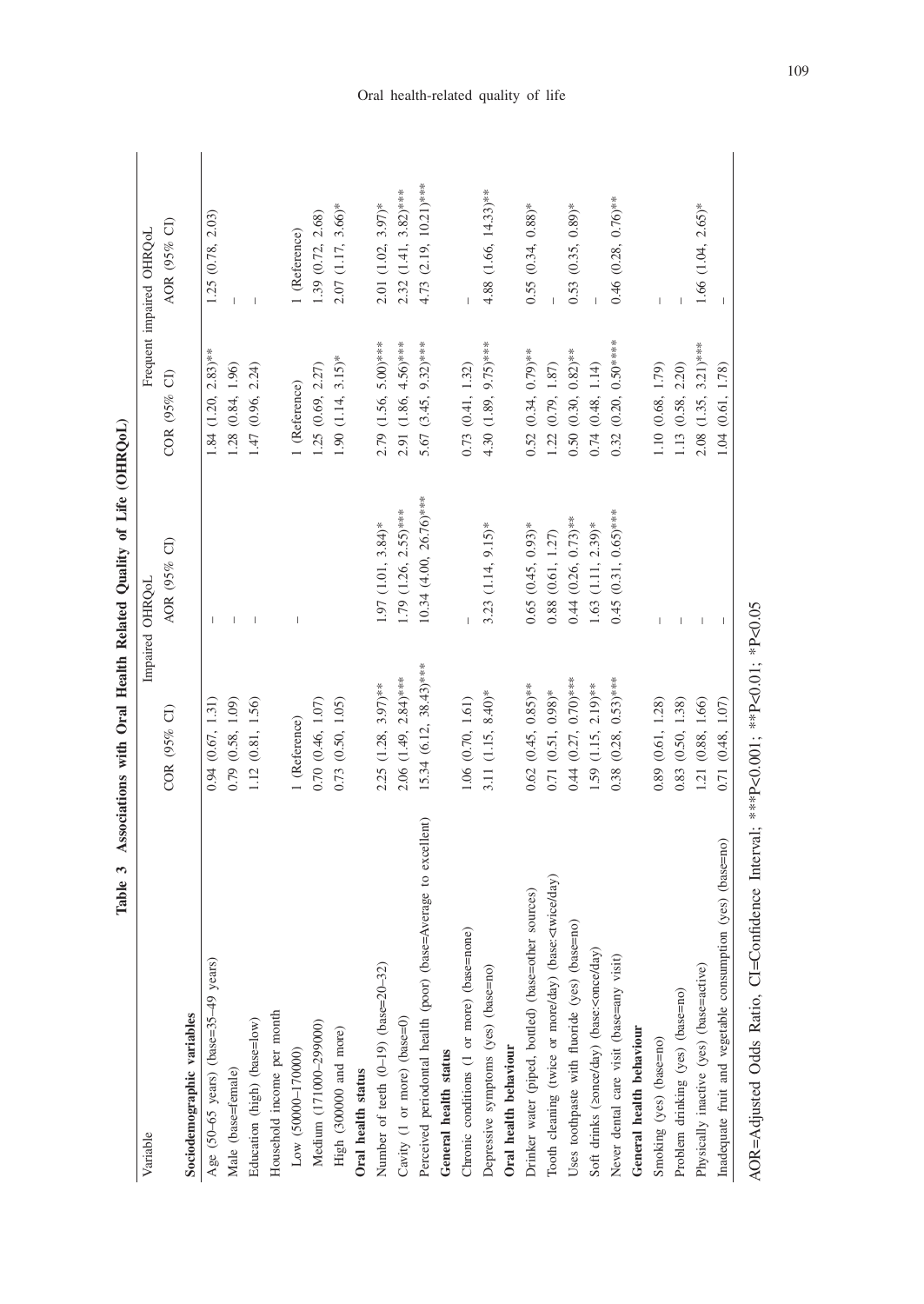| Variable                                                                                                                                                                                                  |                           | Impaired OHRQoL         |                         | Frequent impaired OHRQoL |
|-----------------------------------------------------------------------------------------------------------------------------------------------------------------------------------------------------------|---------------------------|-------------------------|-------------------------|--------------------------|
|                                                                                                                                                                                                           | COR (95% CI)              | AOR (95% CI)            | COR (95% CI)            | AOR (95% CI)             |
| Sociodemographic variables                                                                                                                                                                                |                           |                         |                         |                          |
| Age (50-65 years) (base=35-49 years)                                                                                                                                                                      | 0.94(0.67, 1.31)          |                         | $1.84$ (1.20, 2.83)**   | 1.25 (0.78, 2.03)        |
| Male (base=female)                                                                                                                                                                                        | 0.79 (0.58, 1.09)         |                         | 1.28 (0.84, 1.96)       |                          |
| Education (high) (base=low)                                                                                                                                                                               | 1.12 (0.81, 1.56)         |                         | 1.47(0.96, 2.24)        | I                        |
| Household income per month                                                                                                                                                                                |                           |                         |                         |                          |
| Low (50000-170000)                                                                                                                                                                                        | 1 (Reference)             |                         | 1 (Reference)           | 1 (Reference)            |
| Medium (171000-299000)                                                                                                                                                                                    | 0.70(0.46, 1.07)          |                         | 1.25 (0.69, 2.27)       | 1.39 (0.72, 2.68)        |
| High (300000 and more)                                                                                                                                                                                    | 0.73(0.50, 1.05)          |                         | $1.90(1.14, 3.15)$ *    | 2.07 (1.17, 3.66)*       |
| Oral health status                                                                                                                                                                                        |                           |                         |                         |                          |
| Number of teeth (0-19) (base=20-32)                                                                                                                                                                       | $2.25$ (1.28, 3.97)**     | $1.97$ (1.01, 3.84)*    | $2.79$ (1.56, 5.00)***  | 2.01 (1.02, 3.97)*       |
| Cavity (1 or more) (base=0)                                                                                                                                                                               | $2.06$ (1.49, $2.84$ )*** | 1.79 (1.26, 2.55)***    | 2.91 (1.86, 4.56)***    | $2.32(1.41, 3.82)$ ***   |
| Perceived periodontal health (poor) (base=Average to excellent)                                                                                                                                           | $15.34 (6.12, 38.43)$ *** | 10.34 (4.00, 26.76)***  | 5.67 (3.45, 9.32)***    | 4.73 (2.19, 10.21)***    |
| General health status                                                                                                                                                                                     |                           |                         |                         |                          |
| Chronic conditions (1 or more) (base=none)                                                                                                                                                                | 1.06(0.70, 1.61)          |                         | 0.73(0.41, 1.32)        |                          |
| Depressive symptoms (yes) (base=no)                                                                                                                                                                       | 3.11 (1.15, 8.40)*        | $3.23$ $(1.14, 9.15)^*$ | 4.30 $(1.89, 9.75)$ *** | 4.88 (1.66, 14.33)**     |
| Oral health behaviour                                                                                                                                                                                     |                           |                         |                         |                          |
| Drinker water (piped, bottled) (base=other sources)                                                                                                                                                       | $0.62$ (0.45, 0.85)**     | $0.65$ $(0.45, 0.93)$ * | $0.52(0.34, 0.79)$ **   | $0.55(0.34, 0.88)$ *     |
| Tooth cleaning (twice or more/day) (base: <twice day)<="" td=""><td><math>0.71(0.51, 0.98)</math>*</td><td><math>0.88</math> <math>(0.61, 1.27)</math></td><td>1.22 (0.79, 1.87)</td><td></td></twice>    | $0.71(0.51, 0.98)$ *      | $0.88$ $(0.61, 1.27)$   | 1.22 (0.79, 1.87)       |                          |
| Uses toothpaste with fluoride (yes) (base=no)                                                                                                                                                             | $0.44$ $(0.27, 0.70)$ *** | $0.44$ (0.26, 0.73)**   | $0.50(0.30, 0.82)$ **   | $0.53(0.35, 0.89)$ *     |
| Soft drinks (20nce/day) (base: <once day)<="" td=""><td>1.59 (1.15, 2.19)**</td><td><math>1.63</math> (1.11, <math>2.39</math>)*</td><td><math>0.74</math> <math>(0.48, 1.14)</math></td><td></td></once> | 1.59 (1.15, 2.19)**       | $1.63$ (1.11, $2.39$ )* | $0.74$ $(0.48, 1.14)$   |                          |
| Never dental care visit (base=any visit)                                                                                                                                                                  | $0.38$ (0.28, 0.53)***    | $0.45(0.31, 0.65)$ ***  | $0.32(0.20, 0.50***$    | $0.46$ (0.28, 0.76)**    |
| General health behaviour                                                                                                                                                                                  |                           |                         |                         |                          |
| Smoking (yes) (base=no)                                                                                                                                                                                   | 0.89(0.61, 1.28)          |                         | 1.10 (0.68, 1.79)       |                          |
| Problem drinking (yes) (base=no)                                                                                                                                                                          | 0.83(0.50, 1.38)          |                         | 1.13 (0.58, 2.20)       |                          |
| Physically inactive (yes) (base=active)                                                                                                                                                                   | 1.21 (0.88, 1.66)         |                         | $2.08$ (1.35, 3.21)***  | $1.66$ $(1.04, 2.65)$ *  |
| Inadequate fruit and vegetable consumption (yes) (base=no)                                                                                                                                                | 0.71(0.48, 1.07)          |                         | 1.04 (0.61, 1.78)       |                          |
|                                                                                                                                                                                                           |                           |                         |                         |                          |

Table 3 Associations with Oral Health Related Quality of Life (OHRQoL) **Table 3 Associations with Oral Health Related Quality of Life (OHRQoL)**

AOR=Adjusted Odds Ratio, CI=Confidence Interval; \*\*\*P<0.001; \*\*P<0.01; \*P<0.05 AOR=Adjusted Odds Ratio, CI=Confidence Interval; \*\*\*P<0.001; \*\*P<0.01; \*P<0.05

## Oral health-related quality of life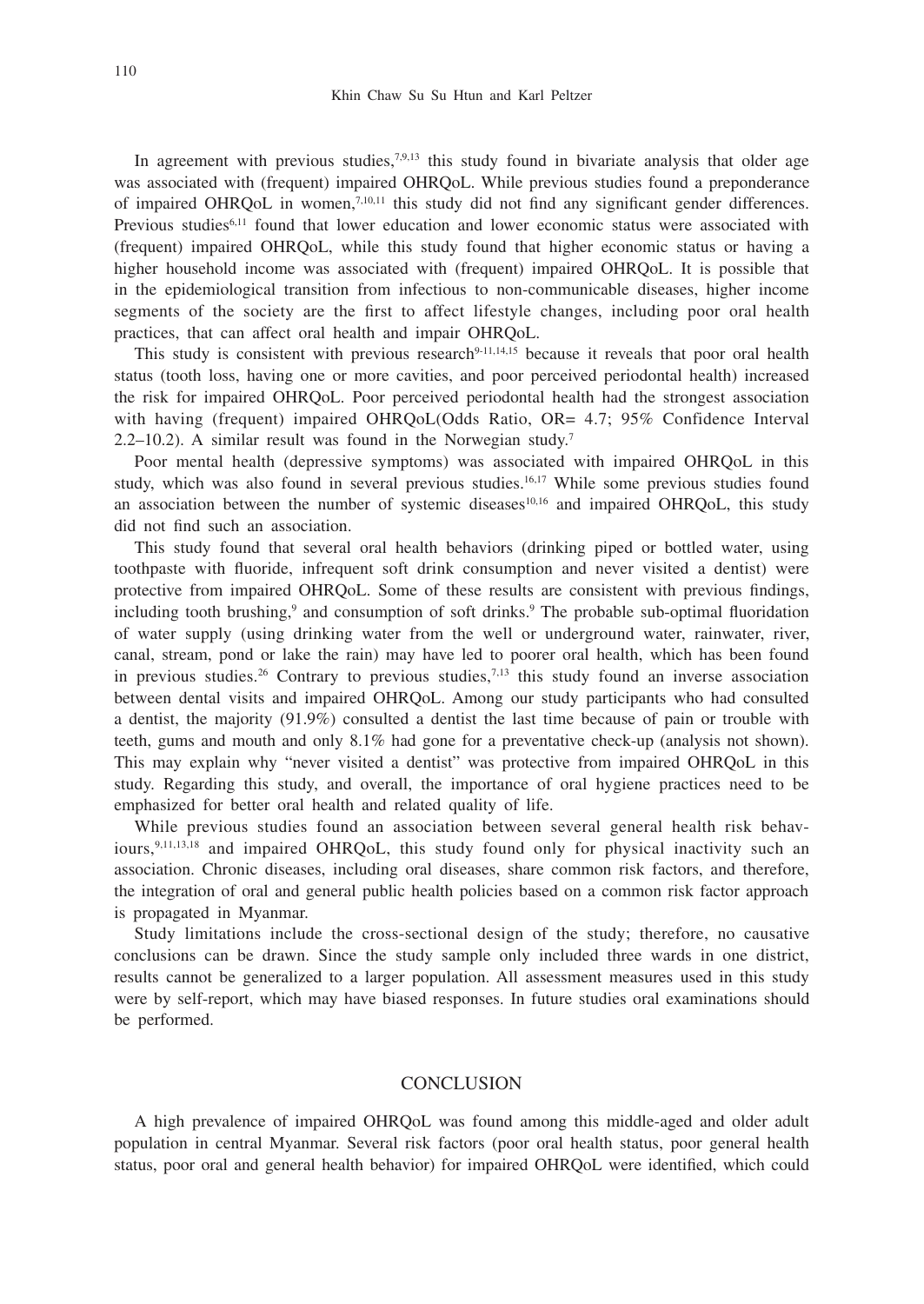In agreement with previous studies, $7,9,13$  this study found in bivariate analysis that older age was associated with (frequent) impaired OHRQoL. While previous studies found a preponderance of impaired OHRQoL in women,7,10,11 this study did not find any significant gender differences. Previous studies<sup>6,11</sup> found that lower education and lower economic status were associated with (frequent) impaired OHRQoL, while this study found that higher economic status or having a higher household income was associated with (frequent) impaired OHRQoL. It is possible that in the epidemiological transition from infectious to non-communicable diseases, higher income segments of the society are the first to affect lifestyle changes, including poor oral health practices, that can affect oral health and impair OHRQoL.

This study is consistent with previous research $9-11,14,15$  because it reveals that poor oral health status (tooth loss, having one or more cavities, and poor perceived periodontal health) increased the risk for impaired OHRQoL. Poor perceived periodontal health had the strongest association with having (frequent) impaired OHRQoL(Odds Ratio, OR= 4.7; 95% Confidence Interval 2.2–10.2). A similar result was found in the Norwegian study.7

Poor mental health (depressive symptoms) was associated with impaired OHRQoL in this study, which was also found in several previous studies.<sup>16,17</sup> While some previous studies found an association between the number of systemic diseases $10,16$  and impaired OHRQoL, this study did not find such an association.

This study found that several oral health behaviors (drinking piped or bottled water, using toothpaste with fluoride, infrequent soft drink consumption and never visited a dentist) were protective from impaired OHRQoL. Some of these results are consistent with previous findings, including tooth brushing,<sup>9</sup> and consumption of soft drinks.<sup>9</sup> The probable sub-optimal fluoridation of water supply (using drinking water from the well or underground water, rainwater, river, canal, stream, pond or lake the rain) may have led to poorer oral health, which has been found in previous studies.<sup>26</sup> Contrary to previous studies, $7.13$  this study found an inverse association between dental visits and impaired OHRQoL. Among our study participants who had consulted a dentist, the majority (91.9%) consulted a dentist the last time because of pain or trouble with teeth, gums and mouth and only 8.1% had gone for a preventative check-up (analysis not shown). This may explain why "never visited a dentist" was protective from impaired OHRQoL in this study. Regarding this study, and overall, the importance of oral hygiene practices need to be emphasized for better oral health and related quality of life.

While previous studies found an association between several general health risk behaviours,<sup>9,11,13,18</sup> and impaired OHRQoL, this study found only for physical inactivity such an association. Chronic diseases, including oral diseases, share common risk factors, and therefore, the integration of oral and general public health policies based on a common risk factor approach is propagated in Myanmar.

Study limitations include the cross-sectional design of the study; therefore, no causative conclusions can be drawn. Since the study sample only included three wards in one district, results cannot be generalized to a larger population. All assessment measures used in this study were by self-report, which may have biased responses. In future studies oral examinations should be performed.

## **CONCLUSION**

A high prevalence of impaired OHRQoL was found among this middle-aged and older adult population in central Myanmar. Several risk factors (poor oral health status, poor general health status, poor oral and general health behavior) for impaired OHRQoL were identified, which could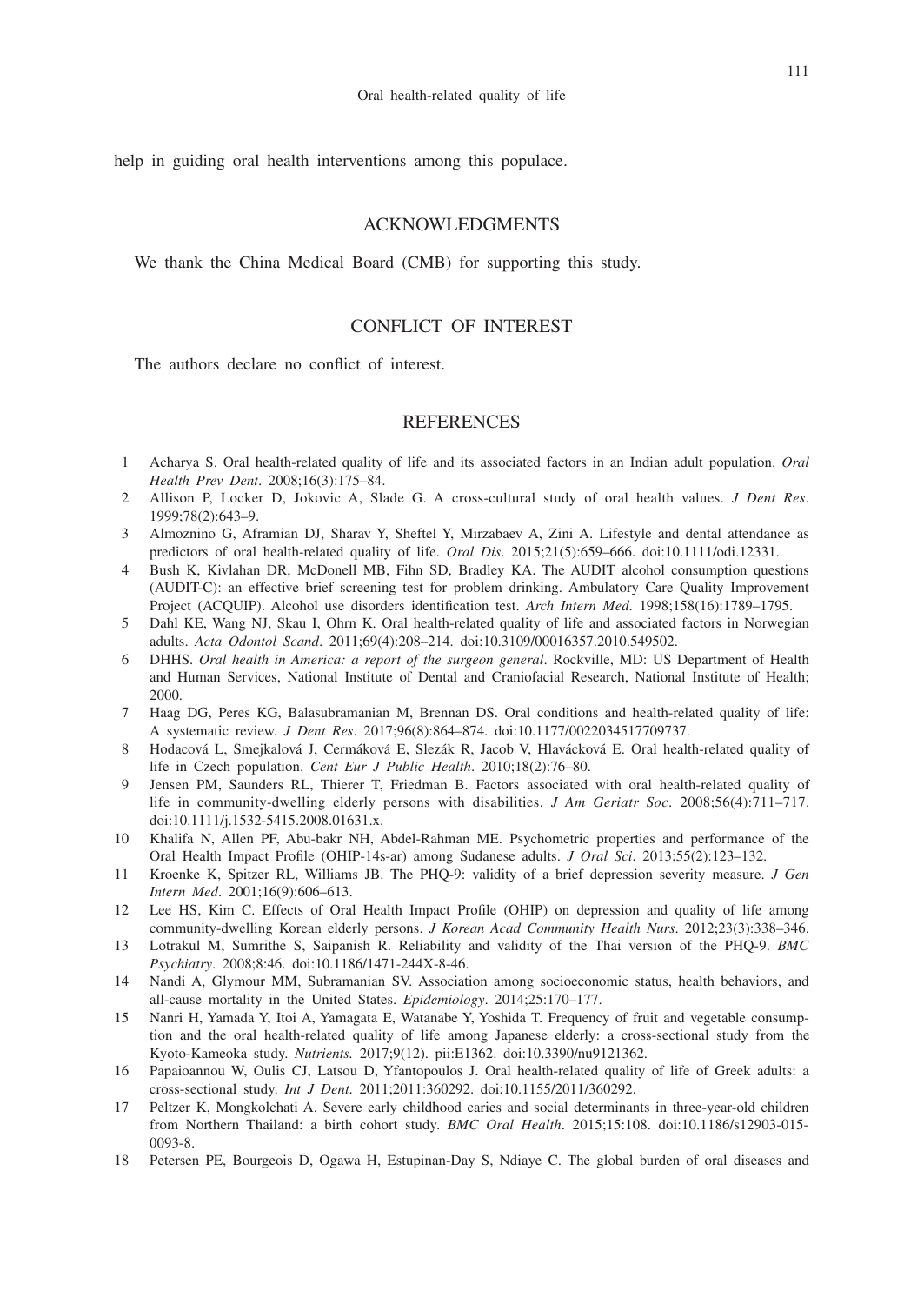help in guiding oral health interventions among this populace.

### ACKNOWLEDGMENTS

We thank the China Medical Board (CMB) for supporting this study.

## CONFLICT OF INTEREST

The authors declare no conflict of interest.

## **REFERENCES**

- 1 Acharya S. Oral health-related quality of life and its associated factors in an Indian adult population. *Oral Health Prev Dent*. 2008;16(3):175–84.
- 2 Allison P, Locker D, Jokovic A, Slade G. A cross-cultural study of oral health values. *J Dent Res*. 1999;78(2):643–9.
- 3 Almoznino G, Aframian DJ, Sharav Y, Sheftel Y, Mirzabaev A, Zini A. Lifestyle and dental attendance as predictors of oral health-related quality of life. *Oral Dis*. 2015;21(5):659–666. doi:10.1111/odi.12331.
- 4 Bush K, Kivlahan DR, McDonell MB, Fihn SD, Bradley KA. The AUDIT alcohol consumption questions (AUDIT-C): an effective brief screening test for problem drinking. Ambulatory Care Quality Improvement Project (ACQUIP). Alcohol use disorders identification test. *Arch Intern Med*. 1998;158(16):1789–1795.
- 5 Dahl KE, Wang NJ, Skau I, Ohrn K. Oral health-related quality of life and associated factors in Norwegian adults. *Acta Odontol Scand*. 2011;69(4):208–214. doi:10.3109/00016357.2010.549502.
- 6 DHHS. *Oral health in America: a report of the surgeon general*. Rockville, MD: US Department of Health and Human Services, National Institute of Dental and Craniofacial Research, National Institute of Health; 2000.
- 7 Haag DG, Peres KG, Balasubramanian M, Brennan DS. Oral conditions and health-related quality of life: A systematic review. *J Dent Res*. 2017;96(8):864–874. doi:10.1177/0022034517709737.
- 8 Hodacová L, Smejkalová J, Cermáková E, Slezák R, Jacob V, Hlavácková E. Oral health-related quality of life in Czech population. *Cent Eur J Public Health*. 2010;18(2):76–80.
- 9 Jensen PM, Saunders RL, Thierer T, Friedman B. Factors associated with oral health-related quality of life in community-dwelling elderly persons with disabilities. *J Am Geriatr Soc*. 2008;56(4):711–717. doi:10.1111/j.1532-5415.2008.01631.x.
- 10 Khalifa N, Allen PF, Abu-bakr NH, Abdel-Rahman ME. Psychometric properties and performance of the Oral Health Impact Profile (OHIP-14s-ar) among Sudanese adults. *J Oral Sci*. 2013;55(2):123–132.
- 11 Kroenke K, Spitzer RL, Williams JB. The PHQ-9: validity of a brief depression severity measure. *J Gen Intern Med*. 2001;16(9):606–613.
- 12 Lee HS, Kim C. Effects of Oral Health Impact Profile (OHIP) on depression and quality of life among community-dwelling Korean elderly persons. *J Korean Acad Community Health Nurs*. 2012;23(3):338–346.
- 13 Lotrakul M, Sumrithe S, Saipanish R. Reliability and validity of the Thai version of the PHQ-9. *BMC Psychiatry*. 2008;8:46. doi:10.1186/1471-244X-8-46.
- 14 Nandi A, Glymour MM, Subramanian SV. Association among socioeconomic status, health behaviors, and all-cause mortality in the United States. *Epidemiology*. 2014;25:170–177.
- 15 Nanri H, Yamada Y, Itoi A, Yamagata E, Watanabe Y, Yoshida T. Frequency of fruit and vegetable consumption and the oral health-related quality of life among Japanese elderly: a cross-sectional study from the Kyoto-Kameoka study. *Nutrients.* 2017;9(12). pii:E1362. doi:10.3390/nu9121362.
- 16 Papaioannou W, Oulis CJ, Latsou D, Yfantopoulos J. Oral health-related quality of life of Greek adults: a cross-sectional study. *Int J Dent*. 2011;2011:360292. doi:10.1155/2011/360292.
- 17 Peltzer K, Mongkolchati A. Severe early childhood caries and social determinants in three-year-old children from Northern Thailand: a birth cohort study. *BMC Oral Health*. 2015;15:108. doi:10.1186/s12903-015- 0093-8.
- 18 Petersen PE, Bourgeois D, Ogawa H, Estupinan-Day S, Ndiaye C. The global burden of oral diseases and